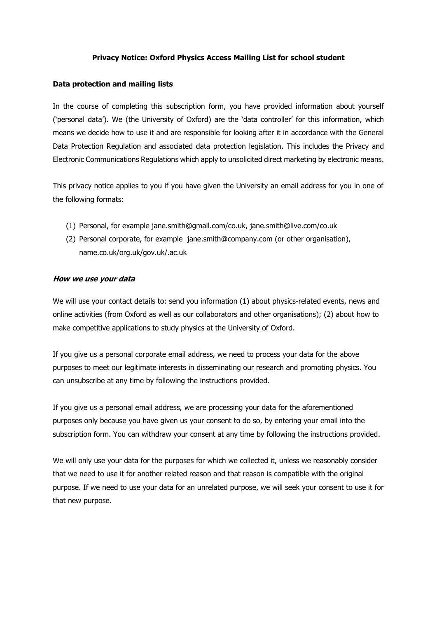## **Privacy Notice: Oxford Physics Access Mailing List for school student**

#### **Data protection and mailing lists**

In the course of completing this subscription form, you have provided information about yourself ('personal data'). We (the University of Oxford) are the 'data controller' for this information, which means we decide how to use it and are responsible for looking after it in accordance with the General Data Protection Regulation and associated data protection legislation. This includes the Privacy and Electronic Communications Regulations which apply to unsolicited direct marketing by electronic means.

This privacy notice applies to you if you have given the University an email address for you in one of the following formats:

- (1) Personal, for example jane.smith@gmail.com/co.uk, jane.smith@live.com/co.uk
- (2) Personal corporate, for example jane.smith@company.com (or other organisation), name.co.uk/org.uk/gov.uk/.ac.uk

#### **How we use your data**

We will use your contact details to: send you information (1) about physics-related events, news and online activities (from Oxford as well as our collaborators and other organisations); (2) about how to make competitive applications to study physics at the University of Oxford.

If you give us a personal corporate email address, we need to process your data for the above purposes to meet our legitimate interests in disseminating our research and promoting physics. You can unsubscribe at any time by following the instructions provided.

If you give us a personal email address, we are processing your data for the aforementioned purposes only because you have given us your consent to do so, by entering your email into the subscription form. You can withdraw your consent at any time by following the instructions provided.

We will only use your data for the purposes for which we collected it, unless we reasonably consider that we need to use it for another related reason and that reason is compatible with the original purpose. If we need to use your data for an unrelated purpose, we will seek your consent to use it for that new purpose.